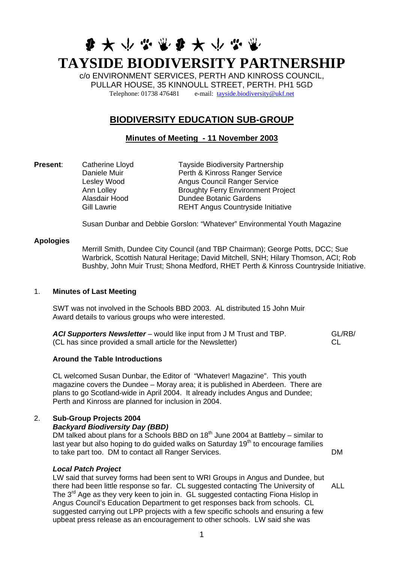# 第六小学家第六小学家 **TAYSIDE BIODIVERSITY PARTNERSHIP**

c/o ENVIRONMENT SERVICES, PERTH AND KINROSS COUNCIL, PULLAR HOUSE, 35 KINNOULL STREET, PERTH. PH1 5GD Telephone: 01738 476481 e-mail: [tayside.biodiversity@ukf.net](mailto:tayside.biodiversity@ukf.net)

# **BIODIVERSITY EDUCATION SUB-GROUP**

**Minutes of Meeting - 11 November 2003**

**Present:** Catherine Lloyd Tayside Biodiversity Partnership Daniele Muir **Perth & Kinross Ranger Service**<br>
Lesley Wood **Angus Council Ranger Service** Angus Council Ranger Service Ann Lolley Broughty Ferry Environment Project Alasdair Hood Dundee Botanic Gardens Gill Lawrie **REHT** Angus Countryside Initiative

Susan Dunbar and Debbie Gorslon: "Whatever" Environmental Youth Magazine

#### **Apologies**

Merrill Smith, Dundee City Council (and TBP Chairman); George Potts, DCC; Sue Warbrick, Scottish Natural Heritage; David Mitchell, SNH; Hilary Thomson, ACI; Rob Bushby, John Muir Trust; Shona Medford, RHET Perth & Kinross Countryside Initiative.

#### 1. **Minutes of Last Meeting**

SWT was not involved in the Schools BBD 2003. AL distributed 15 John Muir Award details to various groups who were interested.

*ACI Supporters Newsletter* – would like input from J M Trust and TBP. (CL has since provided a small article for the Newsletter) GL/RB/ CL

# **Around the Table Introductions**

CL welcomed Susan Dunbar, the Editor of "Whatever! Magazine". This youth magazine covers the Dundee – Moray area; it is published in Aberdeen. There are plans to go Scotland-wide in April 2004. It already includes Angus and Dundee; Perth and Kinross are planned for inclusion in 2004.

# 2. **Sub-Group Projects 2004**

#### *Backyard Biodiversity Day (BBD)*

DM talked about plans for a Schools BBD on  $18<sup>th</sup>$  June 2004 at Battleby – similar to last year but also hoping to do quided walks on Saturday  $19<sup>th</sup>$  to encourage families to take part too. DM to contact all Ranger Services. DM

#### *Local Patch Project*

LW said that survey forms had been sent to WRI Groups in Angus and Dundee, but there had been little response so far. CL suggested contacting The University of The  $3<sup>rd</sup>$  Age as they very keen to join in. GL suggested contacting Fiona Hislop in Angus Council's Education Department to get responses back from schools. CL suggested carrying out LPP projects with a few specific schools and ensuring a few upbeat press release as an encouragement to other schools. LW said she was ALL

1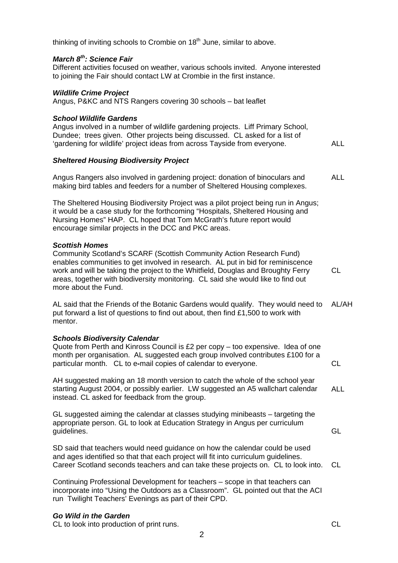thinking of inviting schools to Crombie on  $18<sup>th</sup>$  June, similar to above.

#### *March 8th: Science Fair*

Different activities focused on weather, various schools invited. Anyone interested to joining the Fair should contact LW at Crombie in the first instance.

#### *Wildlife Crime Project*

Angus, P&KC and NTS Rangers covering 30 schools – bat leaflet

#### *School Wildlife Gardens*

Angus involved in a number of wildlife gardening projects. Liff Primary School, Dundee; trees given. Other projects being discussed. CL asked for a list of 'gardening for wildlife' project ideas from across Tayside from everyone. ALL

#### *Sheltered Housing Biodiversity Project*

Angus Rangers also involved in gardening project: donation of binoculars and making bird tables and feeders for a number of Sheltered Housing complexes. ALL

The Sheltered Housing Biodiversity Project was a pilot project being run in Angus; it would be a case study for the forthcoming "Hospitals, Sheltered Housing and Nursing Homes" HAP. CL hoped that Tom McGrath's future report would encourage similar projects in the DCC and PKC areas.

#### *Scottish Homes*

Community Scotland's SCARF (Scottish Community Action Research Fund) enables communities to get involved in research. AL put in bid for reminiscence work and will be taking the project to the Whitfield, Douglas and Broughty Ferry areas, together with biodiversity monitoring. CL said she would like to find out more about the Fund.

AL said that the Friends of the Botanic Gardens would qualify. They would need to put forward a list of questions to find out about, then find £1,500 to work with mentor. AL/AH

# *Schools Biodiversity Calendar*

Quote from Perth and Kinross Council is £2 per copy – too expensive. Idea of one month per organisation. AL suggested each group involved contributes £100 for a particular month. CL to e**-**mail copies of calendar to everyone. CL

AH suggested making an 18 month version to catch the whole of the school year starting August 2004, or possibly earlier. LW suggested an A5 wallchart calendar instead. CL asked for feedback from the group. ALL

GL suggested aiming the calendar at classes studying minibeasts – targeting the appropriate person. GL to look at Education Strategy in Angus per curriculum guidelines.

SD said that teachers would need guidance on how the calendar could be used and ages identified so that that each project will fit into curriculum guidelines. Career Scotland seconds teachers and can take these projects on. CL to look into. CL

2

Continuing Professional Development for teachers – scope in that teachers can incorporate into "Using the Outdoors as a Classroom". GL pointed out that the ACI run Twilight Teachers' Evenings as part of their CPD.

# *Go Wild in the Garden*

CL to look into production of print runs. CL

CL

GL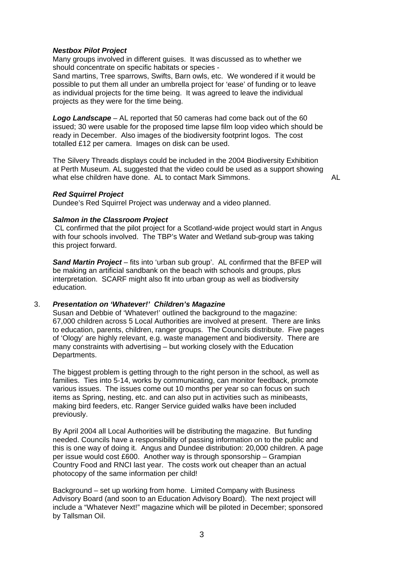#### *Nestbox Pilot Project*

Many groups involved in different guises. It was discussed as to whether we should concentrate on specific habitats or species -

Sand martins, Tree sparrows, Swifts, Barn owls, etc. We wondered if it would be possible to put them all under an umbrella project for 'ease' of funding or to leave as individual projects for the time being. It was agreed to leave the individual projects as they were for the time being.

*Logo Landscape* – AL reported that 50 cameras had come back out of the 60 issued; 30 were usable for the proposed time lapse film loop video which should be ready in December. Also images of the biodiversity footprint logos. The cost totalled £12 per camera. Images on disk can be used.

The Silvery Threads displays could be included in the 2004 Biodiversity Exhibition at Perth Museum. AL suggested that the video could be used as a support showing what else children have done. AL to contact Mark Simmons.

AL

#### *Red Squirrel Project*

Dundee's Red Squirrel Project was underway and a video planned.

#### *Salmon in the Classroom Project*

 CL confirmed that the pilot project for a Scotland-wide project would start in Angus with four schools involved. The TBP's Water and Wetland sub-group was taking this project forward.

*Sand Martin Project* – fits into 'urban sub group'. AL confirmed that the BFEP will be making an artificial sandbank on the beach with schools and groups, plus interpretation. SCARF might also fit into urban group as well as biodiversity education.

# 3. *Presentation on 'Whatever!' Children's Magazine*

Susan and Debbie of 'Whatever!' outlined the background to the magazine: 67,000 children across 5 Local Authorities are involved at present. There are links to education, parents, children, ranger groups. The Councils distribute. Five pages of 'Ology' are highly relevant, e.g. waste management and biodiversity. There are many constraints with advertising – but working closely with the Education Departments.

The biggest problem is getting through to the right person in the school, as well as families. Ties into 5-14, works by communicating, can monitor feedback, promote various issues. The issues come out 10 months per year so can focus on such items as Spring, nesting, etc. and can also put in activities such as minibeasts, making bird feeders, etc. Ranger Service guided walks have been included previously.

By April 2004 all Local Authorities will be distributing the magazine. But funding needed. Councils have a responsibility of passing information on to the public and this is one way of doing it. Angus and Dundee distribution: 20,000 children. A page per issue would cost £600. Another way is through sponsorship – Grampian Country Food and RNCI last year. The costs work out cheaper than an actual photocopy of the same information per child!

Background – set up working from home. Limited Company with Business Advisory Board (and soon to an Education Advisory Board). The next project will include a "Whatever Next!" magazine which will be piloted in December; sponsored by Tallsman Oil.